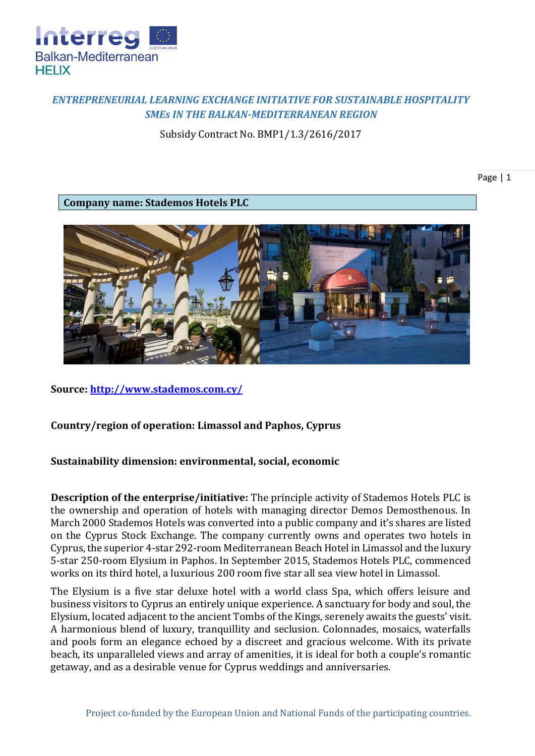

# *ENTREPRENEURIAL LEARNING EXCHANGE INITIATIVE FOR SUSTAINABLE HOSPITALITY SMEs IN THE BALKAN-MEDITERRANEAN REGION*

Subsidy Contract No. BMP1/1.3/2616/2017

Page | 1

**Company name: Stademos Hotels PLC**



**Source:<http://www.stademos.com.cy/>**

### **Country/region of operation: Limassol and Paphos, Cyprus**

### **Sustainability dimension: environmental, social, economic**

**Description of the enterprise/initiative:** Тhe principle activity of Stademos Hotels PLC is the ownership and operation of hotels with managing director Demos Demosthenous. In March 2000 Stademos Hotels was converted into a public company and it's shares are listed on the Cyprus Stock Exchange. The company currently owns and operates two hotels in Cyprus, the superior 4-star 292-room Mediterranean Beach Hotel in Limassol and the luxury 5-star 250-room Elysium in Paphos. In September 2015, Stademos Hotels PLC, commenced works on its third hotel, a luxurious 200 room five star all sea view hotel in Limassol.

The Elysium is a five star deluxe hotel with a world class Spa, which offers leisure and business visitors to Cyprus an entirely unique experience. A sanctuary for body and soul, the Elysium, located adjacent to the ancient Tombs of the Kings, serenely awaits the guests' visit. A harmonious blend of luxury, tranquillity and seclusion. Colonnades, mosaics, waterfalls and pools form an elegance echoed by a discreet and gracious welcome. With its private beach, its unparalleled views and array of amenities, it is ideal for both a couple's romantic getaway, and as a desirable venue for Cyprus weddings and anniversaries.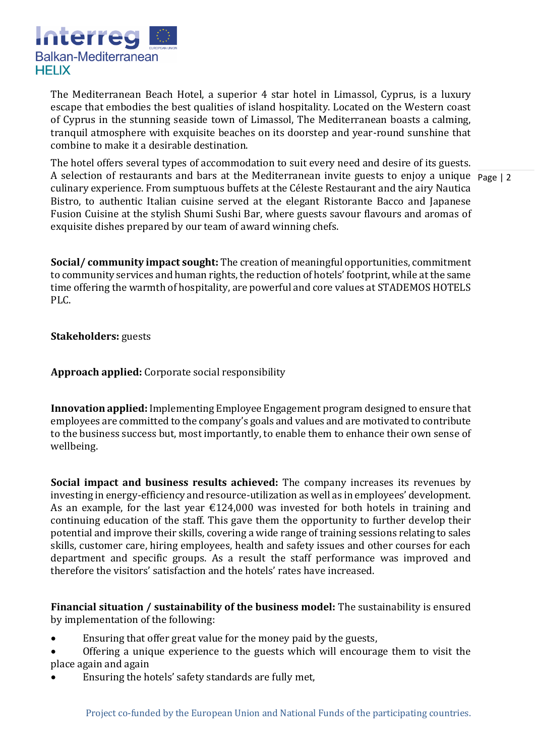

The Mediterranean Beach Hotel, a superior 4 star hotel in Limassol, Cyprus, is a luxury escape that embodies the best qualities of island hospitality. Located on the Western coast of Cyprus in the stunning seaside town of Limassol, The Mediterranean boasts a calming, tranquil atmosphere with exquisite beaches on its doorstep and year-round sunshine that combine to make it a desirable destination.

A selection of restaurants and bars at the Mediterranean invite guests to enjoy a unique Page | 2 The hotel offers several types of accommodation to suit every need and desire of its guests. culinary experience. From sumptuous buffets at the Céleste Restaurant and the airy Nautica Bistro, to authentic Italian cuisine served at the elegant Ristorante Bacco and Japanese Fusion Cuisine at the stylish Shumi Sushi Bar, where guests savour flavours and aromas of exquisite dishes prepared by our team of award winning chefs.

**Social/ community impact sought:** The creation of meaningful opportunities, commitment to community services and human rights, the reduction of hotels' footprint, while at the same time offering the warmth of hospitality, are powerful and core values at STADEMOS HOTELS PLC.

**Stakeholders:** guests

**Approach applied:** Corporate social responsibility

**Innovation applied:** Implementing Employee Engagement program designed to ensure that employees are committed to the company's goals and values and are motivated to contribute to the business success but, most importantly, to enable them to enhance their own sense of wellbeing.

**Social impact and business results achieved:** The company increases its revenues by investing in energy-efficiency and resource-utilization as well as in employees' development. As an example, for the last year  $\epsilon$ 124,000 was invested for both hotels in training and continuing education of the staff. This gave them the opportunity to further develop their potential and improve their skills, covering a wide range of training sessions relating to sales skills, customer care, hiring employees, health and safety issues and other courses for each department and specific groups. As a result the staff performance was improved and therefore the visitors' satisfaction and the hotels' rates have increased.

**Financial situation / sustainability of the business model:** The sustainability is ensured by implementation of the following:

- Ensuring that offer great value for the money paid by the guests,
- Offering a unique experience to the guests which will encourage them to visit the place again and again
- Ensuring the hotels' safety standards are fully met,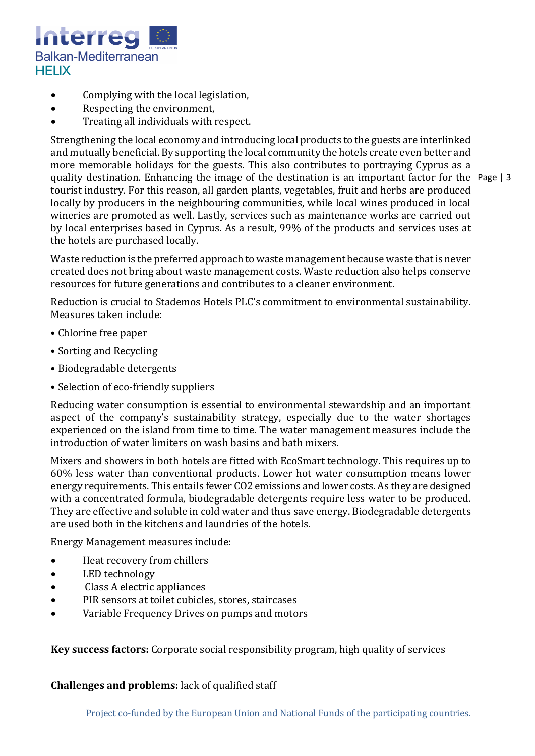

- Complying with the local legislation,
- Respecting the environment,
- Treating all individuals with respect.

quality destination. Enhancing the image of the destination is an important factor for the Page | 3 Strengthening the local economy and introducing local products to the guests are interlinked and mutually beneficial. By supporting the local community the hotels create even better and more memorable holidays for the guests. This also contributes to portraying Cyprus as a tourist industry. For this reason, all garden plants, vegetables, fruit and herbs are produced locally by producers in the neighbouring communities, while local wines produced in local wineries are promoted as well. Lastly, services such as maintenance works are carried out by local enterprises based in Cyprus. As a result, 99% of the products and services uses at the hotels are purchased locally.

Waste reduction is the preferred approach to waste management because waste that is never created does not bring about waste management costs. Waste reduction also helps conserve resources for future generations and contributes to a cleaner environment.

Reduction is crucial to Stademos Hotels PLC's commitment to environmental sustainability. Measures taken include:

- Chlorine free paper
- Sorting and Recycling
- Biodegradable detergents
- Selection of eco-friendly suppliers

Reducing water consumption is essential to environmental stewardship and an important aspect of the company's sustainability strategy, especially due to the water shortages experienced on the island from time to time. The water management measures include the introduction of water limiters on wash basins and bath mixers.

Mixers and showers in both hotels are fitted with EcoSmart technology. This requires up to 60% less water than conventional products. Lower hot water consumption means lower energy requirements. This entails fewer CO2 emissions and lower costs. As they are designed with a concentrated formula, biodegradable detergents require less water to be produced. They are effective and soluble in cold water and thus save energy. Biodegradable detergents are used both in the kitchens and laundries of the hotels.

Energy Management measures include:

- Heat recovery from chillers
- LED technology
- Class A electric appliances
- PIR sensors at toilet cubicles, stores, staircases
- Variable Frequency Drives on pumps and motors

**Key success factors:** Corporate social responsibility program, high quality of services

#### **Challenges and problems:** lack of qualified staff

Project co-funded by the European Union and National Funds of the participating countries.